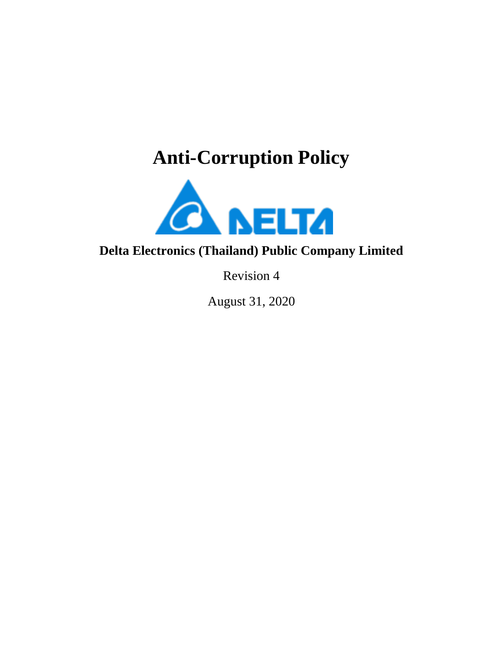# **Anti-Corruption Policy**



## **Delta Electronics (Thailand) Public Company Limited**

Revision 4

August 31, 2020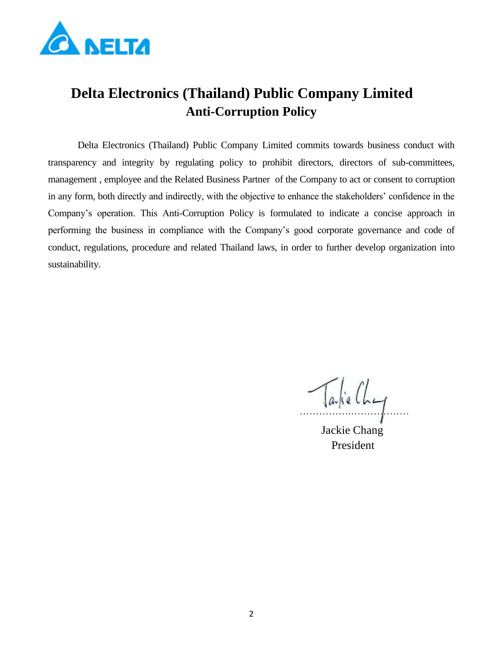

## **Delta Electronics (Thailand) Public Company Limited Anti-Corruption Policy**

Delta Electronics (Thailand) Public Company Limited commits towards business conduct with transparency and integrity by regulating policy to prohibit directors, directors of sub-committees, management , employee and the Related Business Partner of the Company to act or consent to corruption in any form, both directly and indirectly, with the objective to enhance the stakeholders' confidence in the Company's operation. This Anti-Corruption Policy is formulated to indicate a concise approach in performing the business in compliance with the Company's good corporate governance and code of conduct, regulations, procedure and related Thailand laws, in order to further develop organization into sustainability.

…………….………………

 Jackie Chang President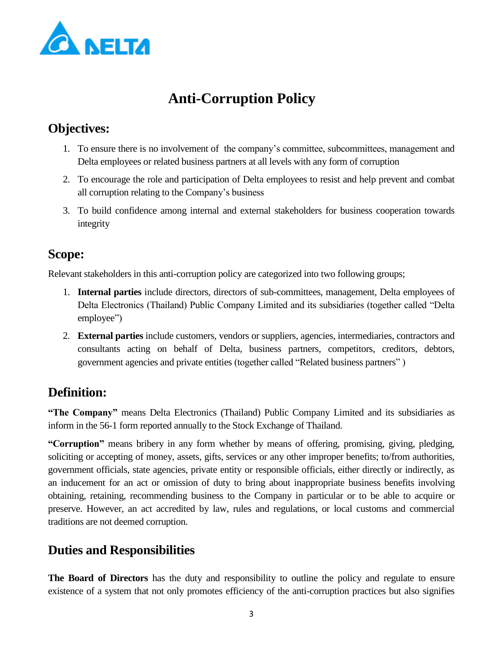

## **Anti-Corruption Policy**

#### **Objectives:**

- 1. To ensure there is no involvement of the company's committee, subcommittees, management and Delta employees or related business partners at all levels with any form of corruption
- 2. To encourage the role and participation of Delta employees to resist and help prevent and combat all corruption relating to the Company's business
- 3. To build confidence among internal and external stakeholders for business cooperation towards integrity

#### **Scope:**

Relevant stakeholders in this anti-corruption policy are categorized into two following groups;

- 1. **Internal parties** include directors, directors of sub-committees, management, Delta employees of Delta Electronics (Thailand) Public Company Limited and its subsidiaries (together called "Delta employee")
- 2. **External parties** include customers, vendors or suppliers, agencies, intermediaries, contractors and consultants acting on behalf of Delta, business partners, competitors, creditors, debtors, government agencies and private entities (together called "Related business partners" )

## **Definition:**

**"The Company"** means Delta Electronics (Thailand) Public Company Limited and its subsidiaries as inform in the 56-1 form reported annually to the Stock Exchange of Thailand.

**"Corruption"** means bribery in any form whether by means of offering, promising, giving, pledging, soliciting or accepting of money, assets, gifts, services or any other improper benefits; to/from authorities, government officials, state agencies, private entity or responsible officials, either directly or indirectly, as an inducement for an act or omission of duty to bring about inappropriate business benefits involving obtaining, retaining, recommending business to the Company in particular or to be able to acquire or preserve. However, an act accredited by law, rules and regulations, or local customs and commercial traditions are not deemed corruption.

## **Duties and Responsibilities**

**The Board of Directors** has the duty and responsibility to outline the policy and regulate to ensure existence of a system that not only promotes efficiency of the anti-corruption practices but also signifies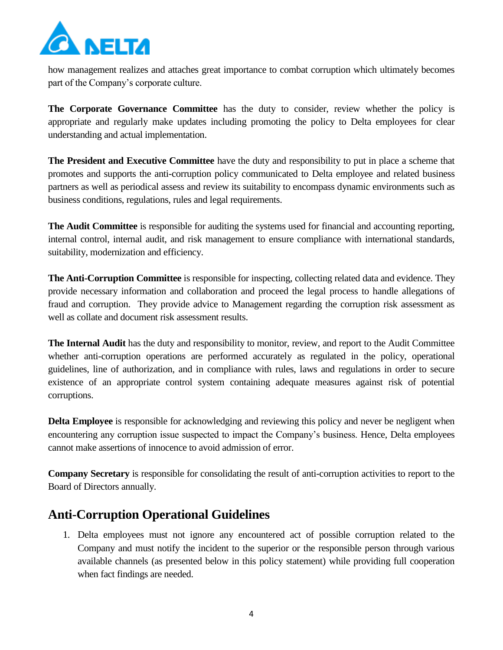

how management realizes and attaches great importance to combat corruption which ultimately becomes part of the Company's corporate culture.

**The Corporate Governance Committee** has the duty to consider, review whether the policy is appropriate and regularly make updates including promoting the policy to Delta employees for clear understanding and actual implementation.

**The President and Executive Committee** have the duty and responsibility to put in place a scheme that promotes and supports the anti-corruption policy communicated to Delta employee and related business partners as well as periodical assess and review its suitability to encompass dynamic environments such as business conditions, regulations, rules and legal requirements.

**The Audit Committee** is responsible for auditing the systems used for financial and accounting reporting, internal control, internal audit, and risk management to ensure compliance with international standards, suitability, modernization and efficiency.

**The Anti-Corruption Committee** is responsible for inspecting, collecting related data and evidence. They provide necessary information and collaboration and proceed the legal process to handle allegations of fraud and corruption. They provide advice to Management regarding the corruption risk assessment as well as collate and document risk assessment results.

**The Internal Audit** has the duty and responsibility to monitor, review, and report to the Audit Committee whether anti-corruption operations are performed accurately as regulated in the policy, operational guidelines, line of authorization, and in compliance with rules, laws and regulations in order to secure existence of an appropriate control system containing adequate measures against risk of potential corruptions.

**Delta Employee** is responsible for acknowledging and reviewing this policy and never be negligent when encountering any corruption issue suspected to impact the Company's business. Hence, Delta employees cannot make assertions of innocence to avoid admission of error.

**Company Secretary** is responsible for consolidating the result of anti-corruption activities to report to the Board of Directors annually.

#### **Anti-Corruption Operational Guidelines**

1. Delta employees must not ignore any encountered act of possible corruption related to the Company and must notify the incident to the superior or the responsible person through various available channels (as presented below in this policy statement) while providing full cooperation when fact findings are needed.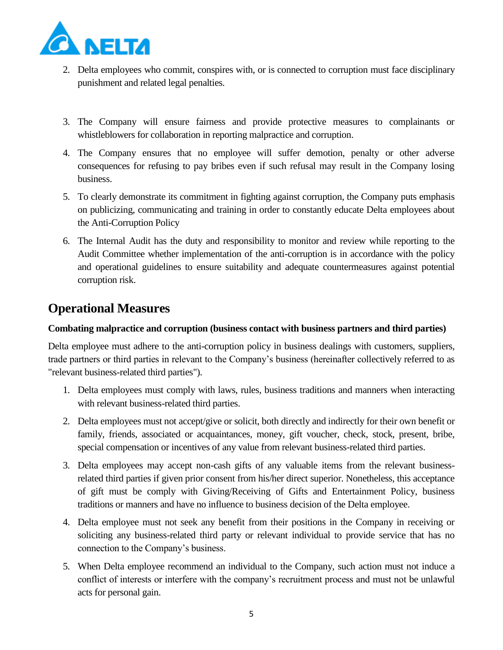

- 2. Delta employees who commit, conspires with, or is connected to corruption must face disciplinary punishment and related legal penalties.
- 3. The Company will ensure fairness and provide protective measures to complainants or whistleblowers for collaboration in reporting malpractice and corruption.
- 4. The Company ensures that no employee will suffer demotion, penalty or other adverse consequences for refusing to pay bribes even if such refusal may result in the Company losing business.
- 5. To clearly demonstrate its commitment in fighting against corruption, the Company puts emphasis on publicizing, communicating and training in order to constantly educate Delta employees about the Anti-Corruption Policy
- 6. The Internal Audit has the duty and responsibility to monitor and review while reporting to the Audit Committee whether implementation of the anti-corruption is in accordance with the policy and operational guidelines to ensure suitability and adequate countermeasures against potential corruption risk.

#### **Operational Measures**

#### **Combating malpractice and corruption (business contact with business partners and third parties)**

Delta employee must adhere to the anti-corruption policy in business dealings with customers, suppliers, trade partners or third parties in relevant to the Company's business (hereinafter collectively referred to as "relevant business-related third parties").

- 1. Delta employees must comply with laws, rules, business traditions and manners when interacting with relevant business-related third parties.
- 2. Delta employees must not accept/give or solicit, both directly and indirectly for their own benefit or family, friends, associated or acquaintances, money, gift voucher, check, stock, present, bribe, special compensation or incentives of any value from relevant business-related third parties.
- 3. Delta employees may accept non-cash gifts of any valuable items from the relevant businessrelated third parties if given prior consent from his/her direct superior. Nonetheless, this acceptance of gift must be comply with Giving/Receiving of Gifts and Entertainment Policy, business traditions or manners and have no influence to business decision of the Delta employee.
- 4. Delta employee must not seek any benefit from their positions in the Company in receiving or soliciting any business-related third party or relevant individual to provide service that has no connection to the Company's business.
- 5. When Delta employee recommend an individual to the Company, such action must not induce a conflict of interests or interfere with the company's recruitment process and must not be unlawful acts for personal gain.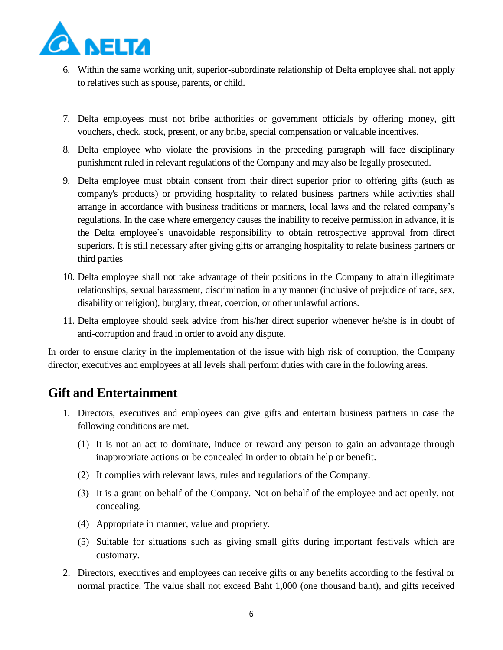

- 6. Within the same working unit, superior-subordinate relationship of Delta employee shall not apply to relatives such as spouse, parents, or child.
- 7. Delta employees must not bribe authorities or government officials by offering money, gift vouchers, check, stock, present, or any bribe, special compensation or valuable incentives.
- 8. Delta employee who violate the provisions in the preceding paragraph will face disciplinary punishment ruled in relevant regulations of the Company and may also be legally prosecuted.
- 9. Delta employee must obtain consent from their direct superior prior to offering gifts (such as company's products) or providing hospitality to related business partners while activities shall arrange in accordance with business traditions or manners, local laws and the related company's regulations. In the case where emergency causes the inability to receive permission in advance, it is the Delta employee's unavoidable responsibility to obtain retrospective approval from direct superiors. It is still necessary after giving gifts or arranging hospitality to relate business partners or third parties
- 10. Delta employee shall not take advantage of their positions in the Company to attain illegitimate relationships, sexual harassment, discrimination in any manner (inclusive of prejudice of race, sex, disability or religion), burglary, threat, coercion, or other unlawful actions.
- 11. Delta employee should seek advice from his/her direct superior whenever he/she is in doubt of anti-corruption and fraud in order to avoid any dispute.

In order to ensure clarity in the implementation of the issue with high risk of corruption, the Company director, executives and employees at all levels shall perform duties with care in the following areas.

#### **Gift and Entertainment**

- 1. Directors, executives and employees can give gifts and entertain business partners in case the following conditions are met.
	- (1) It is not an act to dominate, induce or reward any person to gain an advantage through inappropriate actions or be concealed in order to obtain help or benefit.
	- (2) It complies with relevant laws, rules and regulations of the Company.
	- (3**)** It is a grant on behalf of the Company. Not on behalf of the employee and act openly, not concealing.
	- (4) Appropriate in manner, value and propriety.
	- (5) Suitable for situations such as giving small gifts during important festivals which are customary.
- 2. Directors, executives and employees can receive gifts or any benefits according to the festival or normal practice. The value shall not exceed Baht 1,000 (one thousand baht), and gifts received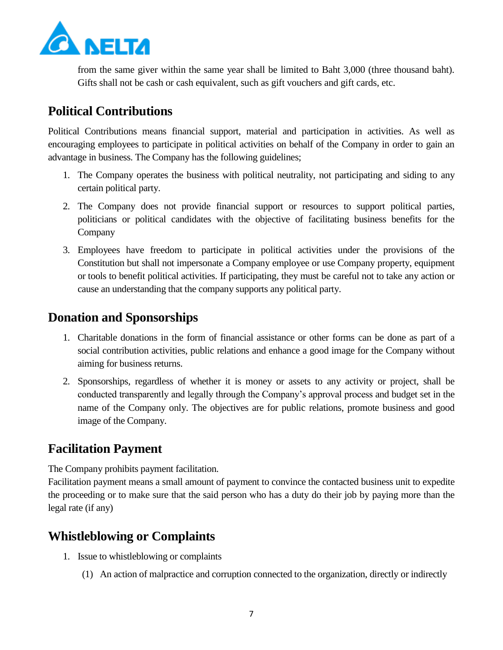

from the same giver within the same year shall be limited to Baht 3,000 (three thousand baht). Gifts shall not be cash or cash equivalent, such as gift vouchers and gift cards, etc.

#### **Political Contributions**

Political Contributions means financial support, material and participation in activities. As well as encouraging employees to participate in political activities on behalf of the Company in order to gain an advantage in business. The Company has the following guidelines;

- 1. The Company operates the business with political neutrality, not participating and siding to any certain political party.
- 2. The Company does not provide financial support or resources to support political parties, politicians or political candidates with the objective of facilitating business benefits for the Company
- 3. Employees have freedom to participate in political activities under the provisions of the Constitution but shall not impersonate a Company employee or use Company property, equipment or tools to benefit political activities. If participating, they must be careful not to take any action or cause an understanding that the company supports any political party.

#### **Donation and Sponsorships**

- 1. Charitable donations in the form of financial assistance or other forms can be done as part of a social contribution activities, public relations and enhance a good image for the Company without aiming for business returns.
- 2. Sponsorships, regardless of whether it is money or assets to any activity or project, shall be conducted transparently and legally through the Company's approval process and budget set in the name of the Company only. The objectives are for public relations, promote business and good image of the Company.

#### **Facilitation Payment**

The Company prohibits payment facilitation.

Facilitation payment means a small amount of payment to convince the contacted business unit to expedite the proceeding or to make sure that the said person who has a duty do their job by paying more than the legal rate (if any)

#### **Whistleblowing or Complaints**

- 1. Issue to whistleblowing or complaints
	- (1) An action of malpractice and corruption connected to the organization, directly or indirectly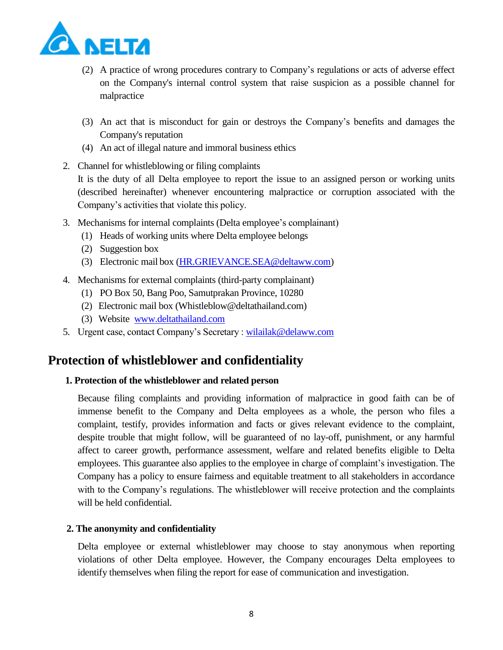

- (2) A practice of wrong procedures contrary to Company's regulations or acts of adverse effect on the Company's internal control system that raise suspicion as a possible channel for malpractice
- (3) An act that is misconduct for gain or destroys the Company's benefits and damages the Company's reputation
- (4) An act of illegal nature and immoral business ethics
- 2. Channel for whistleblowing or filing complaints It is the duty of all Delta employee to report the issue to an assigned person or working units (described hereinafter) whenever encountering malpractice or corruption associated with the Company's activities that violate this policy.
- 3. Mechanisms for internal complaints (Delta employee's complainant)
	- (1) Heads of working units where Delta employee belongs
	- (2) Suggestion box
	- (3) Electronic mail box [\(HR.GRIEVANCE.SEA@deltaww.com\)](mailto:HR.grievance.SEA@deltaww.com)
- 4. Mechanisms for external complaints (third-party complainant)
	- (1) PO Box 50, Bang Poo, Samutprakan Province, 10280
	- (2) Electronic mail box (Whistleblow@deltathailand.com)
	- (3) Website [www.deltathailand.com](http://www.deltathailand.com/)
- 5. Urgent case, contact Company's Secretary : [wilailak@delaww.com](mailto:wilailak@delaww.com)

#### **Protection of whistleblower and confidentiality**

#### **1. Protection of the whistleblower and related person**

Because filing complaints and providing information of malpractice in good faith can be of immense benefit to the Company and Delta employees as a whole, the person who files a complaint, testify, provides information and facts or gives relevant evidence to the complaint, despite trouble that might follow, will be guaranteed of no lay-off, punishment, or any harmful affect to career growth, performance assessment, welfare and related benefits eligible to Delta employees. This guarantee also applies to the employee in charge of complaint's investigation. The Company has a policy to ensure fairness and equitable treatment to all stakeholders in accordance with to the Company's regulations. The whistleblower will receive protection and the complaints will be held confidential.

#### **2. The anonymity and confidentiality**

Delta employee or external whistleblower may choose to stay anonymous when reporting violations of other Delta employee. However, the Company encourages Delta employees to identify themselves when filing the report for ease of communication and investigation.